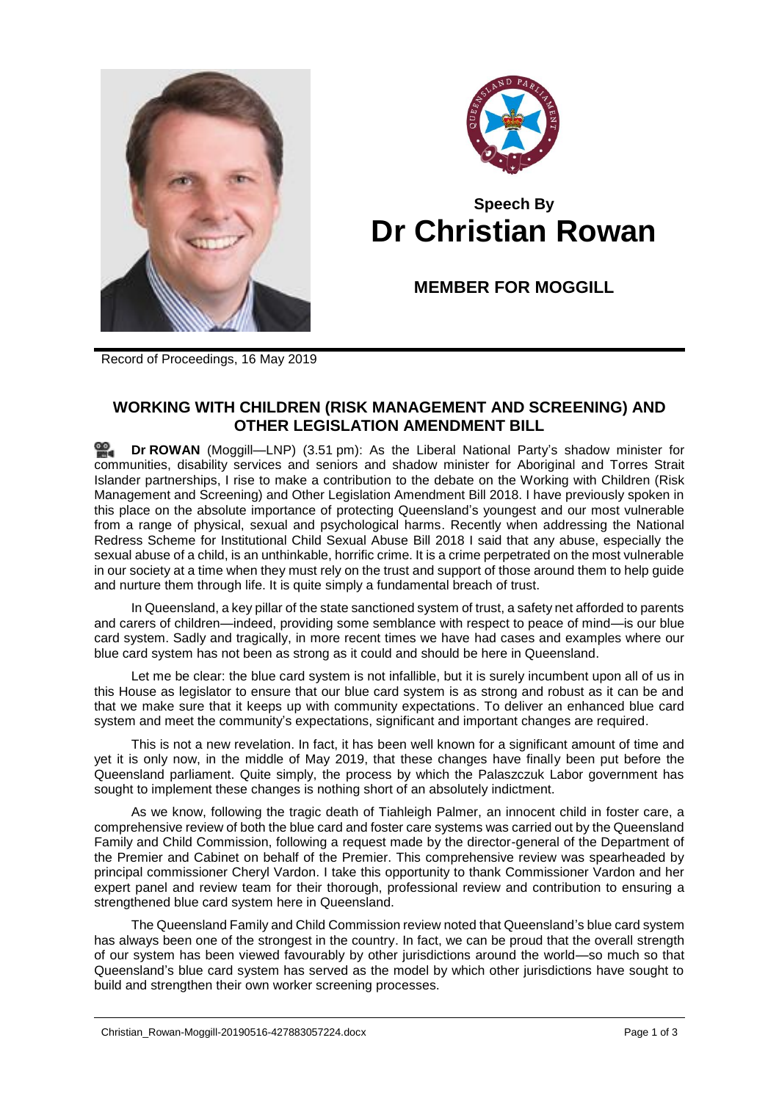



## **Speech By Dr Christian Rowan**

**MEMBER FOR MOGGILL**

Record of Proceedings, 16 May 2019

## **WORKING WITH CHILDREN (RISK MANAGEMENT AND SCREENING) AND OTHER LEGISLATION AMENDMENT BILL**

≌. **Dr [ROWAN](http://www.parliament.qld.gov.au/docs/find.aspx?id=0Mba20190516_155158)** (Moggill—LNP) (3.51 pm): As the Liberal National Party's shadow minister for communities, disability services and seniors and shadow minister for Aboriginal and Torres Strait Islander partnerships, I rise to make a contribution to the debate on the Working with Children (Risk Management and Screening) and Other Legislation Amendment Bill 2018. I have previously spoken in this place on the absolute importance of protecting Queensland's youngest and our most vulnerable from a range of physical, sexual and psychological harms. Recently when addressing the National Redress Scheme for Institutional Child Sexual Abuse Bill 2018 I said that any abuse, especially the sexual abuse of a child, is an unthinkable, horrific crime. It is a crime perpetrated on the most vulnerable in our society at a time when they must rely on the trust and support of those around them to help guide and nurture them through life. It is quite simply a fundamental breach of trust.

In Queensland, a key pillar of the state sanctioned system of trust, a safety net afforded to parents and carers of children—indeed, providing some semblance with respect to peace of mind—is our blue card system. Sadly and tragically, in more recent times we have had cases and examples where our blue card system has not been as strong as it could and should be here in Queensland.

Let me be clear: the blue card system is not infallible, but it is surely incumbent upon all of us in this House as legislator to ensure that our blue card system is as strong and robust as it can be and that we make sure that it keeps up with community expectations. To deliver an enhanced blue card system and meet the community's expectations, significant and important changes are required.

This is not a new revelation. In fact, it has been well known for a significant amount of time and yet it is only now, in the middle of May 2019, that these changes have finally been put before the Queensland parliament. Quite simply, the process by which the Palaszczuk Labor government has sought to implement these changes is nothing short of an absolutely indictment.

As we know, following the tragic death of Tiahleigh Palmer, an innocent child in foster care, a comprehensive review of both the blue card and foster care systems was carried out by the Queensland Family and Child Commission, following a request made by the director-general of the Department of the Premier and Cabinet on behalf of the Premier. This comprehensive review was spearheaded by principal commissioner Cheryl Vardon. I take this opportunity to thank Commissioner Vardon and her expert panel and review team for their thorough, professional review and contribution to ensuring a strengthened blue card system here in Queensland.

The Queensland Family and Child Commission review noted that Queensland's blue card system has always been one of the strongest in the country. In fact, we can be proud that the overall strength of our system has been viewed favourably by other jurisdictions around the world—so much so that Queensland's blue card system has served as the model by which other jurisdictions have sought to build and strengthen their own worker screening processes.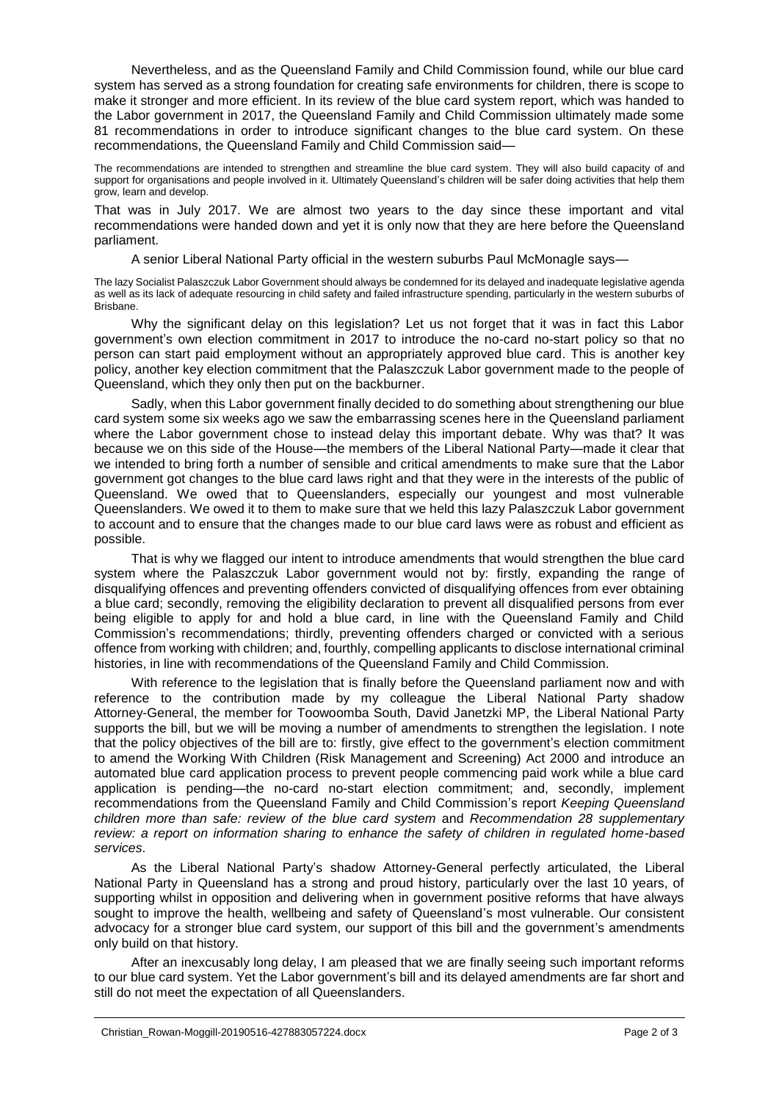Nevertheless, and as the Queensland Family and Child Commission found, while our blue card system has served as a strong foundation for creating safe environments for children, there is scope to make it stronger and more efficient. In its review of the blue card system report, which was handed to the Labor government in 2017, the Queensland Family and Child Commission ultimately made some 81 recommendations in order to introduce significant changes to the blue card system. On these recommendations, the Queensland Family and Child Commission said—

The recommendations are intended to strengthen and streamline the blue card system. They will also build capacity of and support for organisations and people involved in it. Ultimately Queensland's children will be safer doing activities that help them grow, learn and develop.

That was in July 2017. We are almost two years to the day since these important and vital recommendations were handed down and yet it is only now that they are here before the Queensland parliament.

A senior Liberal National Party official in the western suburbs Paul McMonagle says—

The lazy Socialist Palaszczuk Labor Government should always be condemned for its delayed and inadequate legislative agenda as well as its lack of adequate resourcing in child safety and failed infrastructure spending, particularly in the western suburbs of Brisbane.

Why the significant delay on this legislation? Let us not forget that it was in fact this Labor government's own election commitment in 2017 to introduce the no-card no-start policy so that no person can start paid employment without an appropriately approved blue card. This is another key policy, another key election commitment that the Palaszczuk Labor government made to the people of Queensland, which they only then put on the backburner.

Sadly, when this Labor government finally decided to do something about strengthening our blue card system some six weeks ago we saw the embarrassing scenes here in the Queensland parliament where the Labor government chose to instead delay this important debate. Why was that? It was because we on this side of the House—the members of the Liberal National Party—made it clear that we intended to bring forth a number of sensible and critical amendments to make sure that the Labor government got changes to the blue card laws right and that they were in the interests of the public of Queensland. We owed that to Queenslanders, especially our youngest and most vulnerable Queenslanders. We owed it to them to make sure that we held this lazy Palaszczuk Labor government to account and to ensure that the changes made to our blue card laws were as robust and efficient as possible.

That is why we flagged our intent to introduce amendments that would strengthen the blue card system where the Palaszczuk Labor government would not by: firstly, expanding the range of disqualifying offences and preventing offenders convicted of disqualifying offences from ever obtaining a blue card; secondly, removing the eligibility declaration to prevent all disqualified persons from ever being eligible to apply for and hold a blue card, in line with the Queensland Family and Child Commission's recommendations; thirdly, preventing offenders charged or convicted with a serious offence from working with children; and, fourthly, compelling applicants to disclose international criminal histories, in line with recommendations of the Queensland Family and Child Commission.

With reference to the legislation that is finally before the Queensland parliament now and with reference to the contribution made by my colleague the Liberal National Party shadow Attorney-General, the member for Toowoomba South, David Janetzki MP, the Liberal National Party supports the bill, but we will be moving a number of amendments to strengthen the legislation. I note that the policy objectives of the bill are to: firstly, give effect to the government's election commitment to amend the Working With Children (Risk Management and Screening) Act 2000 and introduce an automated blue card application process to prevent people commencing paid work while a blue card application is pending—the no-card no-start election commitment; and, secondly, implement recommendations from the Queensland Family and Child Commission's report *Keeping Queensland children more than safe: review of the blue card system* and *Recommendation 28 supplementary review: a report on information sharing to enhance the safety of children in regulated home-based services*.

As the Liberal National Party's shadow Attorney-General perfectly articulated, the Liberal National Party in Queensland has a strong and proud history, particularly over the last 10 years, of supporting whilst in opposition and delivering when in government positive reforms that have always sought to improve the health, wellbeing and safety of Queensland's most vulnerable. Our consistent advocacy for a stronger blue card system, our support of this bill and the government's amendments only build on that history.

After an inexcusably long delay, I am pleased that we are finally seeing such important reforms to our blue card system. Yet the Labor government's bill and its delayed amendments are far short and still do not meet the expectation of all Queenslanders.